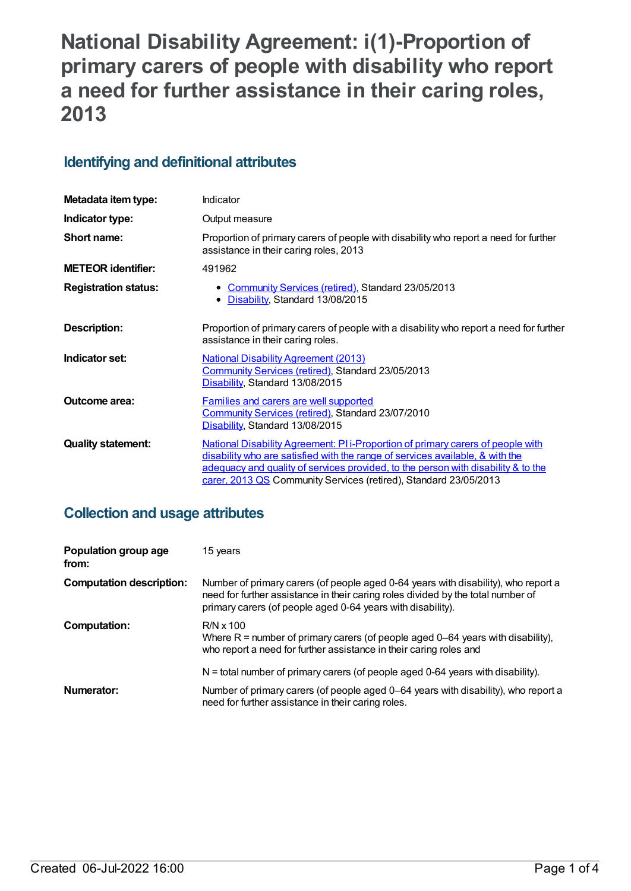# **National Disability Agreement: i(1)-Proportion of primary carers of people with disability who report a need for further assistance in their caring roles, 2013**

## **Identifying and definitional attributes**

| Metadata item type:         | Indicator                                                                                                                                                                                                                                                                                                                 |
|-----------------------------|---------------------------------------------------------------------------------------------------------------------------------------------------------------------------------------------------------------------------------------------------------------------------------------------------------------------------|
| Indicator type:             | Output measure                                                                                                                                                                                                                                                                                                            |
| Short name:                 | Proportion of primary carers of people with disability who report a need for further<br>assistance in their caring roles, 2013                                                                                                                                                                                            |
| <b>METEOR identifier:</b>   | 491962                                                                                                                                                                                                                                                                                                                    |
| <b>Registration status:</b> | Community Services (retired), Standard 23/05/2013<br>• Disability, Standard 13/08/2015                                                                                                                                                                                                                                    |
| Description:                | Proportion of primary carers of people with a disability who report a need for further<br>assistance in their caring roles.                                                                                                                                                                                               |
| Indicator set:              | <b>National Disability Agreement (2013)</b><br>Community Services (retired), Standard 23/05/2013<br>Disability, Standard 13/08/2015                                                                                                                                                                                       |
| <b>Outcome area:</b>        | <b>Families and carers are well supported</b><br>Community Services (retired), Standard 23/07/2010<br>Disability, Standard 13/08/2015                                                                                                                                                                                     |
| <b>Quality statement:</b>   | National Disability Agreement: PI i-Proportion of primary carers of people with<br>disability who are satisfied with the range of services available, & with the<br>adequacy and quality of services provided, to the person with disability & to the<br>carer, 2013 QS Community Services (retired), Standard 23/05/2013 |

## **Collection and usage attributes**

| Population group age<br>from:   | 15 years                                                                                                                                                                                                                              |
|---------------------------------|---------------------------------------------------------------------------------------------------------------------------------------------------------------------------------------------------------------------------------------|
| <b>Computation description:</b> | Number of primary carers (of people aged 0-64 years with disability), who report a<br>need for further assistance in their caring roles divided by the total number of<br>primary carers (of people aged 0-64 years with disability). |
| <b>Computation:</b>             | $R/N \times 100$<br>Where $R =$ number of primary carers (of people aged 0–64 years with disability),<br>who report a need for further assistance in their caring roles and                                                           |
|                                 | N = total number of primary carers (of people aged 0-64 years with disability).                                                                                                                                                       |
| Numerator:                      | Number of primary carers (of people aged 0–64 years with disability), who report a<br>need for further assistance in their caring roles.                                                                                              |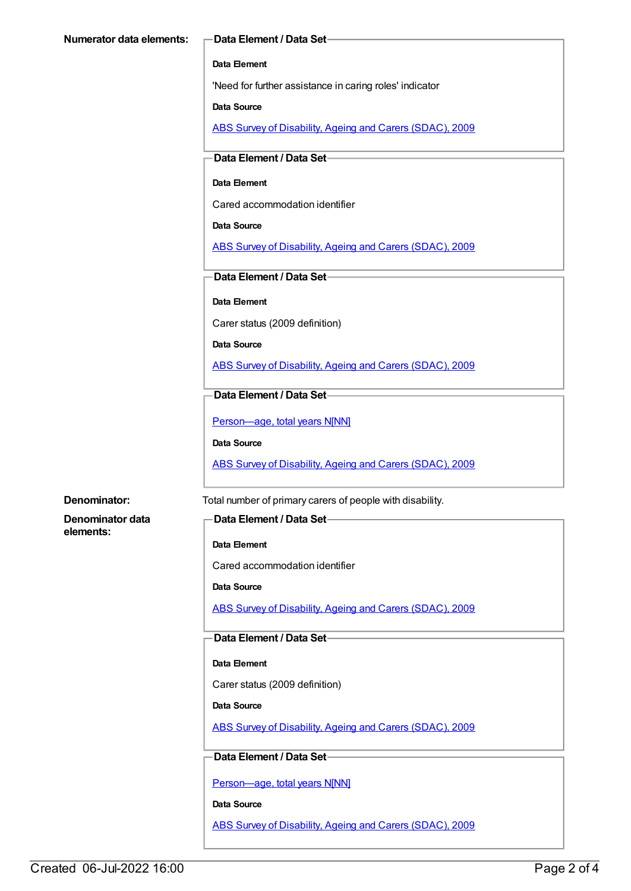#### **Data Element**

'Need for further assistance in caring roles' indicator

**Data Source**

ABS Survey of [Disability,](https://meteor.aihw.gov.au/content/445288) Ageing and Carers (SDAC), 2009

#### **Data Element / Data Set**

#### **Data Element**

Cared accommodation identifier

#### **Data Source**

ABS Survey of [Disability,](https://meteor.aihw.gov.au/content/445288) Ageing and Carers (SDAC), 2009

#### **Data Element / Data Set**

**Data Element**

Carer status (2009 definition)

#### **Data Source**

ABS Survey of [Disability,](https://meteor.aihw.gov.au/content/445288) Ageing and Carers (SDAC), 2009

#### **Data Element / Data Set**

Person-age, total years N[NN]

**Data Source**

ABS Survey of [Disability,](https://meteor.aihw.gov.au/content/445288) Ageing and Carers (SDAC), 2009

**Denominator data elements:**

**Denominator:** Total number of primary carers of people with disability.

### **Data Element / Data Set**

#### **Data Element**

Cared accommodation identifier

**Data Source**

ABS Survey of [Disability,](https://meteor.aihw.gov.au/content/445288) Ageing and Carers (SDAC), 2009

#### **Data Element / Data Set**

#### **Data Element**

Carer status (2009 definition)

**Data Source**

ABS Survey of [Disability,](https://meteor.aihw.gov.au/content/445288) Ageing and Carers (SDAC), 2009

#### **Data Element / Data Set**

[Person—age,](https://meteor.aihw.gov.au/content/303794) total years N[NN]

**Data Source**

ABS Survey of [Disability,](https://meteor.aihw.gov.au/content/445288) Ageing and Carers (SDAC), 2009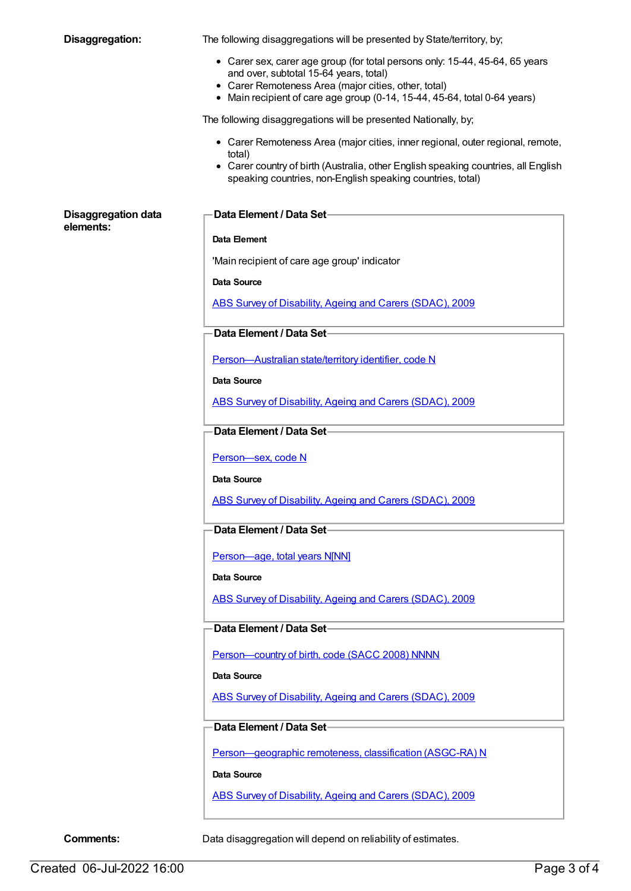| Disaggregation:                         | The following disaggregations will be presented by State/territory, by;                        |
|-----------------------------------------|------------------------------------------------------------------------------------------------|
|                                         | • Carer sex, carer age group (for total persons only: 15-44, 45-64, 65 years                   |
|                                         | and over, subtotal 15-64 years, total)<br>• Carer Remoteness Area (major cities, other, total) |
|                                         | • Main recipient of care age group (0-14, 15-44, 45-64, total 0-64 years)                      |
|                                         | The following disaggregations will be presented Nationally, by;                                |
|                                         | • Carer Remoteness Area (major cities, inner regional, outer regional, remote,<br>total)       |
|                                         | • Carer country of birth (Australia, other English speaking countries, all English             |
|                                         | speaking countries, non-English speaking countries, total)                                     |
| <b>Disaggregation data</b><br>elements: | Data Element / Data Set-                                                                       |
|                                         | Data Element                                                                                   |
|                                         | 'Main recipient of care age group' indicator                                                   |
|                                         | <b>Data Source</b>                                                                             |
|                                         | ABS Survey of Disability, Ageing and Carers (SDAC), 2009                                       |
|                                         | Data Element / Data Set-                                                                       |
|                                         |                                                                                                |
|                                         | Person-Australian state/territory identifier, code N                                           |
|                                         | Data Source                                                                                    |
|                                         | ABS Survey of Disability, Ageing and Carers (SDAC), 2009                                       |
|                                         | Data Element / Data Set-                                                                       |
|                                         | Person-sex, code N                                                                             |
|                                         | <b>Data Source</b>                                                                             |
|                                         | ABS Survey of Disability, Ageing and Carers (SDAC), 2009                                       |
|                                         | Data Element / Data Set-                                                                       |
|                                         |                                                                                                |
|                                         | Person-age, total years N[NN]                                                                  |
|                                         | Data Source                                                                                    |
|                                         | ABS Survey of Disability, Ageing and Carers (SDAC), 2009                                       |
|                                         | Data Element / Data Set-                                                                       |
|                                         | Person-country of birth, code (SACC 2008) NNNN                                                 |
|                                         | Data Source                                                                                    |
|                                         | ABS Survey of Disability, Ageing and Carers (SDAC), 2009                                       |
|                                         |                                                                                                |
|                                         | Data Element / Data Set-                                                                       |
|                                         | Person-geographic remoteness, classification (ASGC-RA) N                                       |
|                                         | <b>Data Source</b>                                                                             |
|                                         | ABS Survey of Disability, Ageing and Carers (SDAC), 2009                                       |
|                                         |                                                                                                |

**Comments:** Data disaggregation will depend on reliability of estimates.